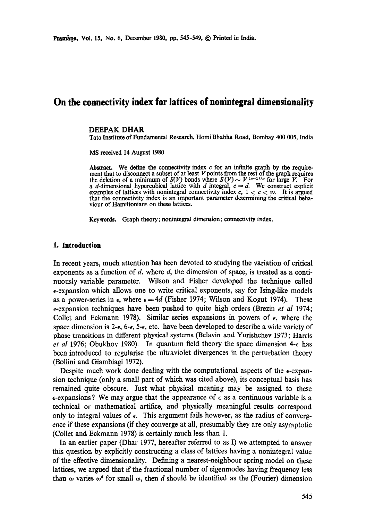# **On the connectivity index for lattices of nonintegral dimensionality**

#### DEEPAK DHAR

Tata Institute of Fundamental Research, Homi Bhabha Road, Bombay 400 005, India

MS received 14 August 1980

**Abstract.** We define the connectivity index c for an infinite graph by the requirement that to disconnect a subset of at least  $V$  points from the rest of the graph requires the deletion of a minimum of *S(V)* bonds where  $S(V) \sim V^{(c-1)/c}$  for large V. For a d-dimensional hypercubical lattice with d integral,  $c = d$ . We construct explicit examples of lattices with nonintegral connectivity index c,  $1 < c < \infty$ . It is argued that the connectivity index is an important parameter determining the critical behaviour of Hamiltonians on these lattices.

**Keywords.** Graph theory; nonintegral dimension; connectivity index.

#### **1. Introduction**

In recent years, much attention has been devoted to studying the variation of critical exponents as a function of d, where d, the dimension of space, is treated as a continuously variable parameter. Wilson and Fisher developed the technique called  $\epsilon$ -expansion which allows one to write critical exponents, say for Ising-like models as a power-series in  $\epsilon$ , where  $\epsilon = 4d$  (Fisher 1974; Wilson and Kogut 1974). These c-expansion techniques have been pushed to quite high orders (Brezin *et al* 1974; Collet and Eckmann 1978). Similar series expansions in powers of  $\epsilon$ , where the space dimension is 2- $\epsilon$ , 6- $\epsilon$ , 5- $\epsilon$ , etc. have been developed to describe a wide variety of phase transitions in different physical systems (Belavin and Yurishchev 1973; Harris *et al* 1976; Obukhov 1980). In quantum field theory the space dimension 4< has been introduced to regularise the ultraviolet divergences in the perturbation theory (Bollini and Giambiagi 1972).

Despite much work done dealing with the computational aspects of the  $\epsilon$ -expansion technique (only a small part of which was cited above), its conceptual basis has remained quite obscure. Just what physical meaning may be assigned to these  $\epsilon$ -expansions? We may argue that the appearance of  $\epsilon$  as a continuous variable is a technical or mathematical artifice, and physically meaningful results correspond only to integral values of  $\epsilon$ . This argument fails however, as the radius of convergence if these expansions (if they converge at all, presumably they are only asymptotic (Collet and Eckmann 1978) is certainly much less than 1.

In an earlier paper (Dhar 1977, hereafter referred to as I) we attempted to answer this question by explicitly constructing a class of lattices having a nonintegral value of the effective dimensionality. Defining a nearest-neighbour spring model on these lattices, we argued that if the fractional number of eigenmodes having frequency less than  $\omega$  varies  $\omega^d$  for small  $\omega$ , then d should be identified as the (Fourier) dimension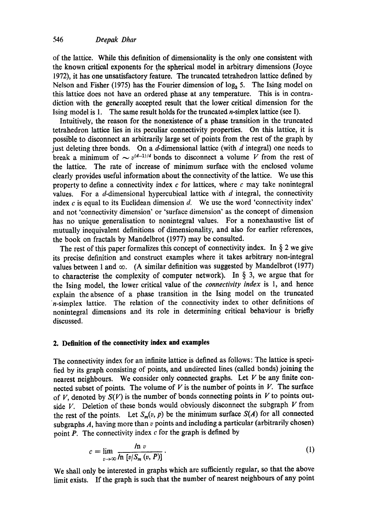of the lattice. While this definition of dimensionality is the only one consistent with the known critical exponents for the spherical model in arbitrary dimensions (Joyce 1972), it has one unsatisfactory feature. The truncated tetrahedron lattice defined by Nelson and Fisher (1975) has the Fourier dimension of  $log<sub>3</sub> 5$ . The Ising model on this lattice does not have an ordered phase at any temperature. This is in contradiction with the generally accepted result that the lower critical dimension for the Ising model is 1. The same result holds for the truncated n-simplex lattice (see I).

Intuitively, the reason for the nonexistence of a phase transition in the truncated tetrahedron lattice lies in its peculiar connectivity properties. On this lattice, it is possible to disconnect an arbitrarily large set of points from the rest of the graph by just deleting three bonds. On a  $d$ -dimensional lattice (with  $d$  integral) one needs to break a minimum of  $\sim v^{(d-1)/d}$  bonds to disconnect a volume V from the rest of the lattice. The rate of increase of minimum surface with the enclosed volume dearly provides useful information about the connectivity of the lattice. We use this property to define a connectivity index  $c$  for lattices, where  $c$  may take nonintegral values. For a  $d$ -dimensional hypercubical lattice with  $d$  integral, the connectivity index  $c$  is equal to its Euclidean dimension  $d$ . We use the word 'connectivity index' and not 'connectivity dimension' or 'surface dimension' as the concept of dimension has no unique generalisation to nonintegral values. For a nonexhaustive list of mutually inequivalent definitions of dimensionality, and also for earlier references, the book on fractals by Mandelbrot (1977) may be consulted.

The rest of this paper formalizes this concept of connectivity index. In  $\S$  2 we give its precise definition and construct examples where it takes arbitrary non-integral values between 1 and  $\infty$ . (A similar definition was suggested by Mandelbrot (1977) to characterise the complexity of computer network). In  $\S$  3, we argue that for the Ising model, the lower critical value of the *connectivity index* is 1, and hence explain the absence of a phase transition in the Ising model on the truncated n-simplex lattice. The relation of the connectivity index to other definitions of nonintegral dimensions and its role in determining critical behaviour is briefly discussed.

### **2. Definition of the connectivity index and examples**

The connectivity index for an infinite lattice is defined as follows: The lattice is specified by its graph consisting of points, and undirected lines (called bonds) joining the nearest neighbours. We consider only connected graphs. Let  $V$  be any finite connected subset of points. The volume of  $V$  is the number of points in  $V$ . The surface of V, denoted by  $S(V)$  is the number of bonds connecting points in V to points outside  $V$ . Deletion of these bonds would obviously disconnect the subgraph  $V$  from the rest of the points. Let  $S_m(v, p)$  be the minimum surface  $S(A)$  for all connected subgraphs  $A$ , having more than  $v$  points and including a particular (arbitrarily chosen) point  $P$ . The connectivity index  $c$  for the graph is defined by

$$
c = \lim_{v \to \infty} \frac{\ln v}{\ln \left[ v / S_m(v, P) \right]} \,. \tag{1}
$$

We shall only be interested in graphs which are sufficiently regular, so that the above limit exists. If the graph is such that the number of nearest neighbours of any point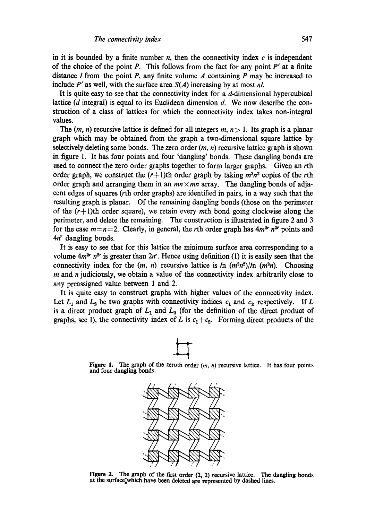in it is bounded by a finite number n, then the connectivity index  $c$  is independent of the choice of the point P. This follows from the fact for any point *P'* at a finite distance *I* from the point *P*, any finite volume *A* containing *P* may be increased to include *P'* as well, with the surface area *S(A)* increasing by at most *nL* 

It is quite easy to see that the connectivity index for a  $d$ -dimensional hypercubical lattice ( $d$  integral) is equal to its Euclidean dimension  $d$ . We now describe the construction of a class of lattices for which the connectivity index takes non-integral values.

The  $(m, n)$  recursive lattice is defined for all integers  $m, n > 1$ . Its graph is a planar graph which may be obtained from the graph a two-dimensional square lattice by selectively deleting some bonds. The zero order  $(m, n)$  recursive lattice graph is shown in figure 1. It has four points and four 'dangling' bonds. These dangling bonds are used to connect the zero order graphs together to form larger graphs. Given an rth order graph, we construct the  $(r+1)$ th order graph by taking  $m^2n^2$  copies of the rth order graph and arranging them in an  $mn \times mn$  array. The dangling bonds of adjacent edges of squares (rth order graphs) are identified in pairs, in a way such that the resulting graph is planar. Of the remaining dangling bonds (those on the perimeter of the  $(r+1)$ th order square), we retain every mth bond going clockwise along the perimeter, and delete the remaining. The construction is illustrated in figure 2 and 3 for the case  $m=n=2$ . Clearly, in general, the rth order graph has  $4m^{2r} n^{2r}$  points and  $4n^r$  dangling bonds.

It is easy to see that for this lattice the minimum surface area corresponding to a volume  $4m^{2r}$  n<sup>2</sup> is greater than  $2n^r$ . Hence using definition (1) it is easily seen that the connectivity index for the  $(m, n)$  recursive lattice is  $\ln (m^2n^2)/\ln (m^2n)$ . Choosing  $m$  and  $n$  judiciously, we obtain a value of the connectivity index arbitrarily close to any preassigned value between 1 and 2.

It is quite easy to construct graphs with higher values of the connectivity index. Let  $L_1$  and  $L_2$  be two graphs with connectivity indices  $c_1$  and  $c_2$  respectively. If L is a direct product graph of  $L_1$  and  $L_2$  (for the definition of the direct product of graphs, see I), the connectivity index of L is  $c_1+c_2$ . Forming direct products of the



Figure 1. The graph of the zeroth order (m, n) recursive lattice. It has four **points**  and four dangling bonds.



Figure 2. The graph of the first order  $(2, 2)$  recursive lattice. The dangling bonds at the surface"which have been deleted are represented by dashed lines.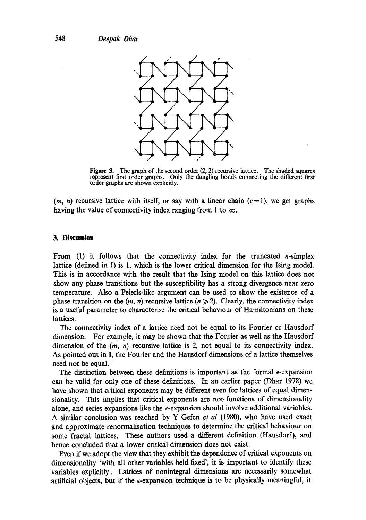

Figure 3. The graph of the second order (2, 2) recursive lattice. The shaded squares represent first order graphs. Only the dangling bonds connecting the different first order graphs are shown explicitly.

 $(m, n)$  recursive lattice with itself, or say with a linear chain  $(c=1)$ , we get graphs having the value of connectivity index ranging from 1 to  $\infty$ .

## **3. Discussion**

From  $(1)$  it follows that the connectivity index for the truncated *n*-simplex lattice (defined in I) is 1, which is the lower critical dimension for the Ising model. This is in accordance with the result that the Ising model on this lattice does not show any phase transitions but the susceptibility has a strong divergence near zero temperature. Also a Peierls-likc argument can be used to show the existence of a phase transition on the  $(m, n)$  recursive lattice  $(n \geq 2)$ . Clearly, the connectivity index is a useful' parameter to characterise the critical behaviour of Hamiltonians on these lattices.

The connectivity index of a lattice need not be equal to its Fourier or Hausdorf dimension. For example, it may be shown that the Fourier as well as the Hausdorf dimension of the  $(m, n)$  recursive lattice is 2, not equal to its connectivity index. As pointed out in I, the Fourier and the Hausdorf dimensions of a lattice themselves need not be equal.

The distinction between these definitions is important as the formal  $\epsilon$ -expansion can be valid for only one of these definitions. In an earlier paper (Dhar 1978) we. have shown that critical exponents may be different even for lattices of equal dimensionality. This implies that critical exponents are not functions of dimensionality alone, and series expansions like the  $\epsilon$ -expansion should involve additional variables. A similar conclusion was reached by Y Gefen *et al* (1980), who have used exact and approximate renormalisation techniques to determine the critical behaviour on some fractal lattices. These authors used a different definition (Hausdorf), and hence concluded that a lower critical dimension does not exist.

Even if we adopt the view that they exhibit the dependence of critical exponents on dimensionality 'with all other variables held fixed', it is important to identify these variables explicitly. Lattices of nonintegral dimensions are necessarily somewhat artificial objects, but if the  $\epsilon$ -expansion technique is to be physically meaningful, it